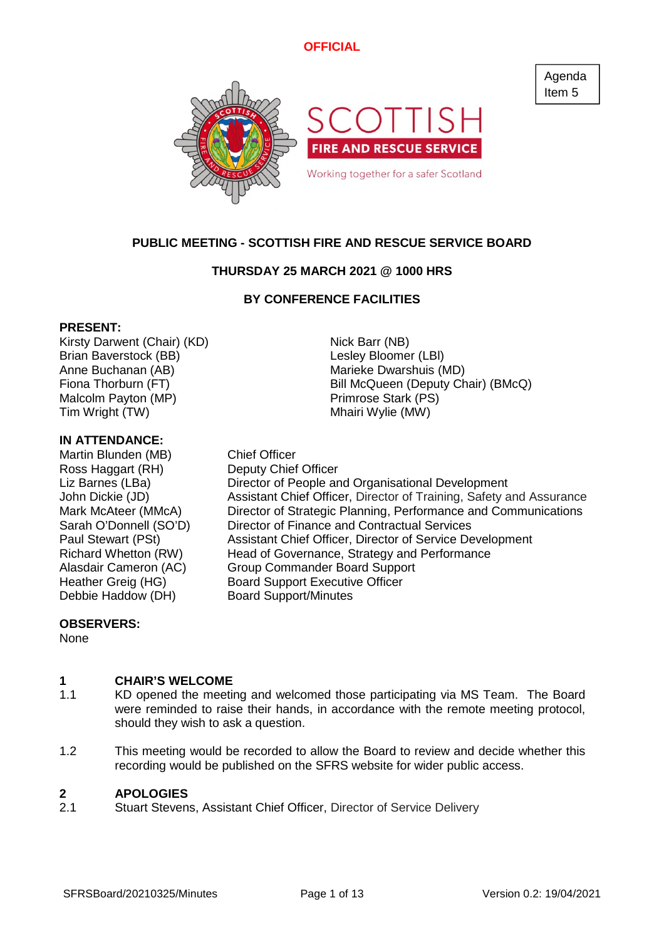Agenda Item 5



# **PUBLIC MEETING - SCOTTISH FIRE AND RESCUE SERVICE BOARD**

# **THURSDAY 25 MARCH 2021 @ 1000 HRS**

## **BY CONFERENCE FACILITIES**

### **PRESENT:**

Kirsty Darwent (Chair) (KD) Nick Barr (NB) Brian Baverstock (BB) Contract Contract Contract Lesley Bloomer (LBI) Anne Buchanan (AB) Marieke Dwarshuis (MD) Malcolm Payton (MP) example a primrose Stark (PS) Tim Wright (TW) Tim Wright (TW)

### **IN ATTENDANCE:**

Martin Blunden (MB) Chief Officer Ross Haggart (RH) Deputy Chief Officer

Fiona Thorburn (FT) The Bill McQueen (Deputy Chair) (BMcQ)

Liz Barnes (LBa) Director of People and Organisational Development John Dickie (JD) Assistant Chief Officer, Director of Training, Safety and Assurance Mark McAteer (MMcA) Director of Strategic Planning, Performance and Communications Sarah O'Donnell (SO'D) Director of Finance and Contractual Services Paul Stewart (PSt) Assistant Chief Officer, Director of Service Development Richard Whetton (RW) Head of Governance, Strategy and Performance<br>Alasdair Cameron (AC) Group Commander Board Support Alasdair Cameron (AC) Group Commander Board Support<br>Heather Greig (HG) Board Support Executive Officer Board Support Executive Officer Debbie Haddow (DH) Board Support/Minutes

### **OBSERVERS:**

None

#### **1 CHAIR'S WELCOME**

- 1.1 KD opened the meeting and welcomed those participating via MS Team. The Board were reminded to raise their hands, in accordance with the remote meeting protocol, should they wish to ask a question.
- 1.2 This meeting would be recorded to allow the Board to review and decide whether this recording would be published on the SFRS website for wider public access.

#### **2 APOLOGIES**

2.1 Stuart Stevens, Assistant Chief Officer, Director of Service Delivery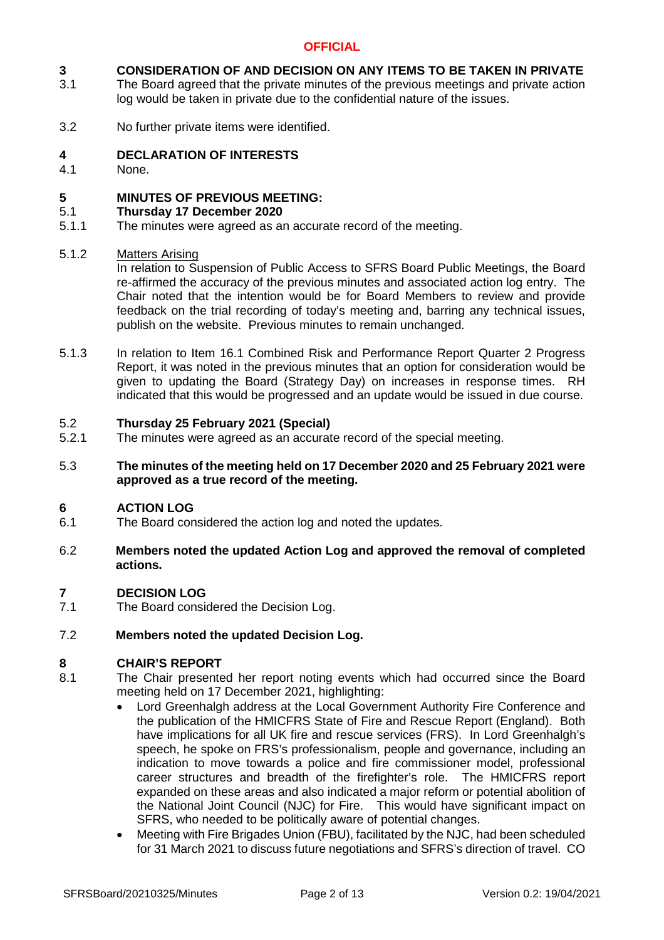#### **3 CONSIDERATION OF AND DECISION ON ANY ITEMS TO BE TAKEN IN PRIVATE**

- 3.1 The Board agreed that the private minutes of the previous meetings and private action log would be taken in private due to the confidential nature of the issues.
- 3.2 No further private items were identified.

#### **4 DECLARATION OF INTERESTS**

4.1 None.

#### **5 MINUTES OF PREVIOUS MEETING:**

#### 5.1 **Thursday 17 December 2020**

5.1.1 The minutes were agreed as an accurate record of the meeting.

#### 5.1.2 Matters Arising

In relation to Suspension of Public Access to SFRS Board Public Meetings, the Board re-affirmed the accuracy of the previous minutes and associated action log entry. The Chair noted that the intention would be for Board Members to review and provide feedback on the trial recording of today's meeting and, barring any technical issues, publish on the website. Previous minutes to remain unchanged.

5.1.3 In relation to Item 16.1 Combined Risk and Performance Report Quarter 2 Progress Report, it was noted in the previous minutes that an option for consideration would be given to updating the Board (Strategy Day) on increases in response times. RH indicated that this would be progressed and an update would be issued in due course.

#### 5.2 **Thursday 25 February 2021 (Special)**

5.2.1 The minutes were agreed as an accurate record of the special meeting.

### 5.3 **The minutes of the meeting held on 17 December 2020 and 25 February 2021 were approved as a true record of the meeting.**

#### **6 ACTION LOG**

6.1 The Board considered the action log and noted the updates.

### 6.2 **Members noted the updated Action Log and approved the removal of completed actions.**

#### **7 DECISION LOG**

7.1 The Board considered the Decision Log.

#### 7.2 **Members noted the updated Decision Log.**

### **8 CHAIR'S REPORT**

- 8.1 The Chair presented her report noting events which had occurred since the Board meeting held on 17 December 2021, highlighting:
	- Lord Greenhalgh address at the Local Government Authority Fire Conference and the publication of the HMICFRS State of Fire and Rescue Report (England). Both have implications for all UK fire and rescue services (FRS). In Lord Greenhalgh's speech, he spoke on FRS's professionalism, people and governance, including an indication to move towards a police and fire commissioner model, professional career structures and breadth of the firefighter's role. The HMICFRS report expanded on these areas and also indicated a major reform or potential abolition of the National Joint Council (NJC) for Fire. This would have significant impact on SFRS, who needed to be politically aware of potential changes.
	- Meeting with Fire Brigades Union (FBU), facilitated by the NJC, had been scheduled for 31 March 2021 to discuss future negotiations and SFRS's direction of travel. CO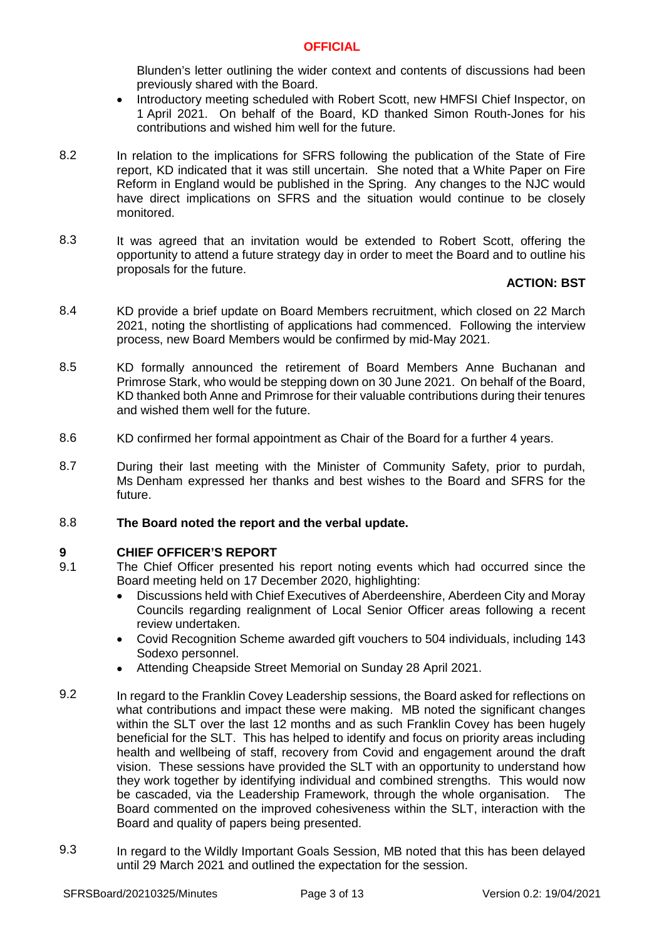Blunden's letter outlining the wider context and contents of discussions had been previously shared with the Board.

- Introductory meeting scheduled with Robert Scott, new HMFSI Chief Inspector, on 1 April 2021. On behalf of the Board, KD thanked Simon Routh-Jones for his contributions and wished him well for the future.
- 8.2 In relation to the implications for SFRS following the publication of the State of Fire report, KD indicated that it was still uncertain. She noted that a White Paper on Fire Reform in England would be published in the Spring. Any changes to the NJC would have direct implications on SFRS and the situation would continue to be closely monitored.
- 8.3 It was agreed that an invitation would be extended to Robert Scott, offering the opportunity to attend a future strategy day in order to meet the Board and to outline his proposals for the future.

# **ACTION: BST**

- 8.4 KD provide a brief update on Board Members recruitment, which closed on 22 March 2021, noting the shortlisting of applications had commenced. Following the interview process, new Board Members would be confirmed by mid-May 2021.
- 8.5 KD formally announced the retirement of Board Members Anne Buchanan and Primrose Stark, who would be stepping down on 30 June 2021. On behalf of the Board, KD thanked both Anne and Primrose for their valuable contributions during their tenures and wished them well for the future.
- 8.6 KD confirmed her formal appointment as Chair of the Board for a further 4 years.
- 8.7 During their last meeting with the Minister of Community Safety, prior to purdah, Ms Denham expressed her thanks and best wishes to the Board and SFRS for the future.

#### 8.8 **The Board noted the report and the verbal update.**

# **9 CHIEF OFFICER'S REPORT**

- 9.1 The Chief Officer presented his report noting events which had occurred since the Board meeting held on 17 December 2020, highlighting:
	- Discussions held with Chief Executives of Aberdeenshire, Aberdeen City and Moray Councils regarding realignment of Local Senior Officer areas following a recent review undertaken.
	- Covid Recognition Scheme awarded gift vouchers to 504 individuals, including 143 Sodexo personnel.
	- Attending Cheapside Street Memorial on Sunday 28 April 2021.
- 9.2 In regard to the Franklin Covey Leadership sessions, the Board asked for reflections on what contributions and impact these were making. MB noted the significant changes within the SLT over the last 12 months and as such Franklin Covey has been hugely beneficial for the SLT. This has helped to identify and focus on priority areas including health and wellbeing of staff, recovery from Covid and engagement around the draft vision. These sessions have provided the SLT with an opportunity to understand how they work together by identifying individual and combined strengths. This would now be cascaded, via the Leadership Framework, through the whole organisation. The Board commented on the improved cohesiveness within the SLT, interaction with the Board and quality of papers being presented.
- 9.3 In regard to the Wildly Important Goals Session, MB noted that this has been delayed until 29 March 2021 and outlined the expectation for the session.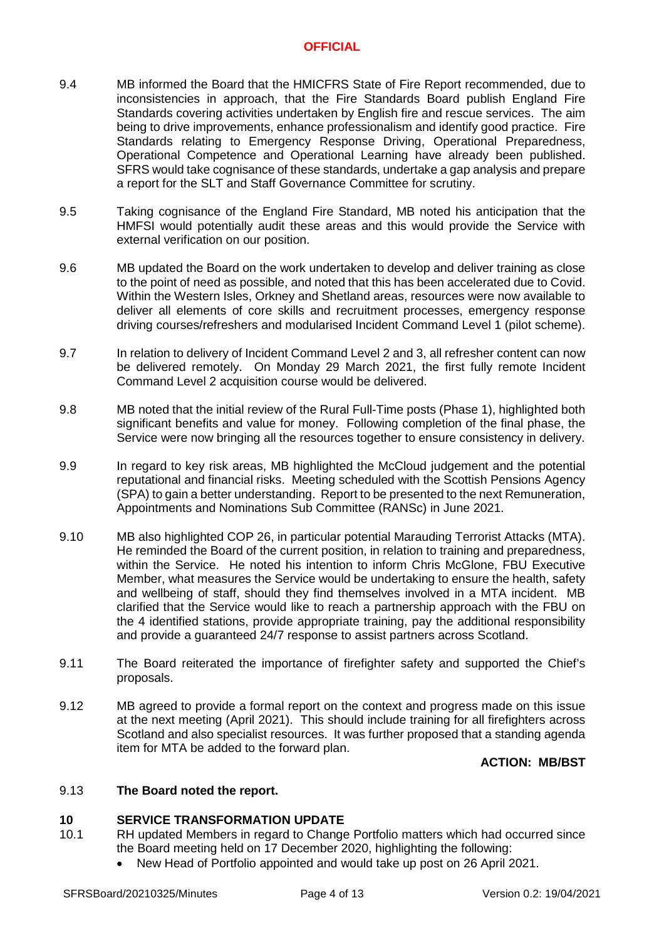- 9.4 MB informed the Board that the HMICFRS State of Fire Report recommended, due to inconsistencies in approach, that the Fire Standards Board publish England Fire Standards covering activities undertaken by English fire and rescue services. The aim being to drive improvements, enhance professionalism and identify good practice. Fire Standards relating to Emergency Response Driving, Operational Preparedness, Operational Competence and Operational Learning have already been published. SFRS would take cognisance of these standards, undertake a gap analysis and prepare a report for the SLT and Staff Governance Committee for scrutiny.
- 9.5 Taking cognisance of the England Fire Standard, MB noted his anticipation that the HMFSI would potentially audit these areas and this would provide the Service with external verification on our position.
- 9.6 MB updated the Board on the work undertaken to develop and deliver training as close to the point of need as possible, and noted that this has been accelerated due to Covid. Within the Western Isles, Orkney and Shetland areas, resources were now available to deliver all elements of core skills and recruitment processes, emergency response driving courses/refreshers and modularised Incident Command Level 1 (pilot scheme).
- 9.7 In relation to delivery of Incident Command Level 2 and 3, all refresher content can now be delivered remotely. On Monday 29 March 2021, the first fully remote Incident Command Level 2 acquisition course would be delivered.
- 9.8 MB noted that the initial review of the Rural Full-Time posts (Phase 1), highlighted both significant benefits and value for money. Following completion of the final phase, the Service were now bringing all the resources together to ensure consistency in delivery.
- 9.9 In regard to key risk areas, MB highlighted the McCloud judgement and the potential reputational and financial risks. Meeting scheduled with the Scottish Pensions Agency (SPA) to gain a better understanding. Report to be presented to the next Remuneration, Appointments and Nominations Sub Committee (RANSc) in June 2021.
- 9.10 MB also highlighted COP 26, in particular potential Marauding Terrorist Attacks (MTA). He reminded the Board of the current position, in relation to training and preparedness, within the Service. He noted his intention to inform Chris McGlone, FBU Executive Member, what measures the Service would be undertaking to ensure the health, safety and wellbeing of staff, should they find themselves involved in a MTA incident. MB clarified that the Service would like to reach a partnership approach with the FBU on the 4 identified stations, provide appropriate training, pay the additional responsibility and provide a guaranteed 24/7 response to assist partners across Scotland.
- 9.11 The Board reiterated the importance of firefighter safety and supported the Chief's proposals.
- 9.12 MB agreed to provide a formal report on the context and progress made on this issue at the next meeting (April 2021). This should include training for all firefighters across Scotland and also specialist resources. It was further proposed that a standing agenda item for MTA be added to the forward plan.

**ACTION: MB/BST**

#### 9.13 **The Board noted the report.**

### **10 SERVICE TRANSFORMATION UPDATE**

- 10.1 RH updated Members in regard to Change Portfolio matters which had occurred since the Board meeting held on 17 December 2020, highlighting the following:
	- New Head of Portfolio appointed and would take up post on 26 April 2021.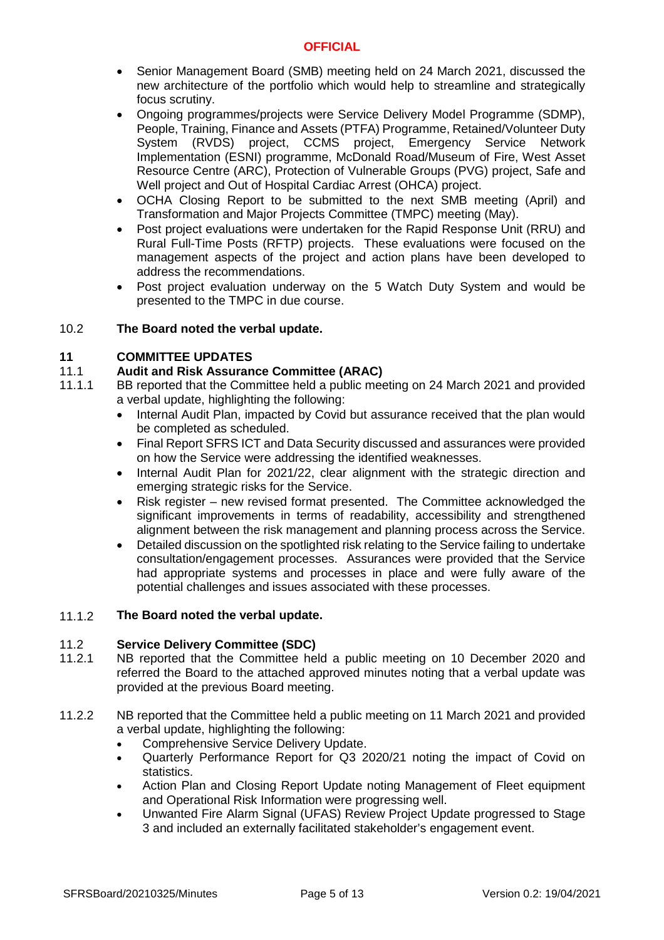- Senior Management Board (SMB) meeting held on 24 March 2021, discussed the new architecture of the portfolio which would help to streamline and strategically focus scrutiny.
- Ongoing programmes/projects were Service Delivery Model Programme (SDMP), People, Training, Finance and Assets (PTFA) Programme, Retained/Volunteer Duty System (RVDS) project, CCMS project, Emergency Service Network Implementation (ESNI) programme, McDonald Road/Museum of Fire, West Asset Resource Centre (ARC), Protection of Vulnerable Groups (PVG) project, Safe and Well project and Out of Hospital Cardiac Arrest (OHCA) project.
- OCHA Closing Report to be submitted to the next SMB meeting (April) and Transformation and Major Projects Committee (TMPC) meeting (May).
- Post project evaluations were undertaken for the Rapid Response Unit (RRU) and Rural Full-Time Posts (RFTP) projects. These evaluations were focused on the management aspects of the project and action plans have been developed to address the recommendations.
- Post project evaluation underway on the 5 Watch Duty System and would be presented to the TMPC in due course.

#### 10.2 **The Board noted the verbal update.**

### **11 COMMITTEE UPDATES**

#### 11.1 **Audit and Risk Assurance Committee (ARAC)**

- 11.1.1 BB reported that the Committee held a public meeting on 24 March 2021 and provided a verbal update, highlighting the following:
	- Internal Audit Plan, impacted by Covid but assurance received that the plan would be completed as scheduled.
	- Final Report SFRS ICT and Data Security discussed and assurances were provided on how the Service were addressing the identified weaknesses.
	- Internal Audit Plan for 2021/22, clear alignment with the strategic direction and emerging strategic risks for the Service.
	- Risk register new revised format presented. The Committee acknowledged the significant improvements in terms of readability, accessibility and strengthened alignment between the risk management and planning process across the Service.
	- Detailed discussion on the spotlighted risk relating to the Service failing to undertake consultation/engagement processes. Assurances were provided that the Service had appropriate systems and processes in place and were fully aware of the potential challenges and issues associated with these processes.

#### 11.1.2 **The Board noted the verbal update.**

#### 11.2 **Service Delivery Committee (SDC)**

- 11.2.1 NB reported that the Committee held a public meeting on 10 December 2020 and referred the Board to the attached approved minutes noting that a verbal update was provided at the previous Board meeting.
- 11.2.2 NB reported that the Committee held a public meeting on 11 March 2021 and provided a verbal update, highlighting the following:
	- Comprehensive Service Delivery Update.
	- Quarterly Performance Report for Q3 2020/21 noting the impact of Covid on statistics.
	- Action Plan and Closing Report Update noting Management of Fleet equipment and Operational Risk Information were progressing well.
	- Unwanted Fire Alarm Signal (UFAS) Review Project Update progressed to Stage 3 and included an externally facilitated stakeholder's engagement event.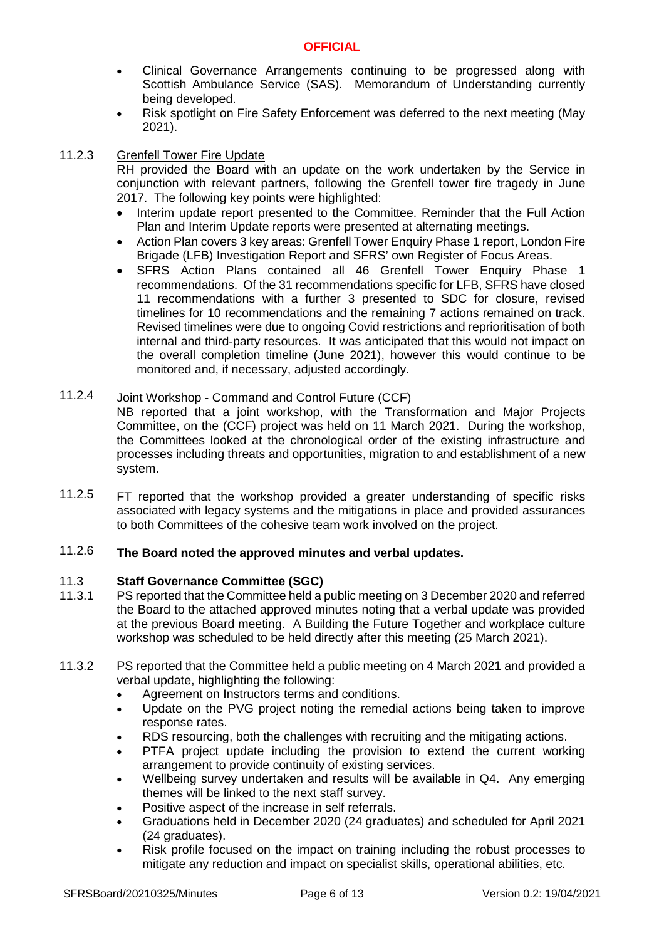- Clinical Governance Arrangements continuing to be progressed along with Scottish Ambulance Service (SAS). Memorandum of Understanding currently being developed.
- Risk spotlight on Fire Safety Enforcement was deferred to the next meeting (May 2021).

#### 11.2.3 Grenfell Tower Fire Update

RH provided the Board with an update on the work undertaken by the Service in conjunction with relevant partners, following the Grenfell tower fire tragedy in June 2017. The following key points were highlighted:

- Interim update report presented to the Committee. Reminder that the Full Action Plan and Interim Update reports were presented at alternating meetings.
- Action Plan covers 3 key areas: Grenfell Tower Enquiry Phase 1 report, London Fire Brigade (LFB) Investigation Report and SFRS' own Register of Focus Areas.
- SFRS Action Plans contained all 46 Grenfell Tower Enquiry Phase 1 recommendations. Of the 31 recommendations specific for LFB, SFRS have closed 11 recommendations with a further 3 presented to SDC for closure, revised timelines for 10 recommendations and the remaining 7 actions remained on track. Revised timelines were due to ongoing Covid restrictions and reprioritisation of both internal and third-party resources. It was anticipated that this would not impact on the overall completion timeline (June 2021), however this would continue to be monitored and, if necessary, adjusted accordingly.

#### 11.2.4 Joint Workshop - Command and Control Future (CCF)

NB reported that a joint workshop, with the Transformation and Major Projects Committee, on the (CCF) project was held on 11 March 2021. During the workshop, the Committees looked at the chronological order of the existing infrastructure and processes including threats and opportunities, migration to and establishment of a new system.

11.2.5 FT reported that the workshop provided a greater understanding of specific risks associated with legacy systems and the mitigations in place and provided assurances to both Committees of the cohesive team work involved on the project.

#### 11.2.6 **The Board noted the approved minutes and verbal updates.**

#### 11.3 **Staff Governance Committee (SGC)**

- 11.3.1 PS reported that the Committee held a public meeting on 3 December 2020 and referred the Board to the attached approved minutes noting that a verbal update was provided at the previous Board meeting. A Building the Future Together and workplace culture workshop was scheduled to be held directly after this meeting (25 March 2021).
- 11.3.2 PS reported that the Committee held a public meeting on 4 March 2021 and provided a verbal update, highlighting the following:
	- Agreement on Instructors terms and conditions.
	- Update on the PVG project noting the remedial actions being taken to improve response rates.
	- RDS resourcing, both the challenges with recruiting and the mitigating actions.
	- PTFA project update including the provision to extend the current working arrangement to provide continuity of existing services.
	- Wellbeing survey undertaken and results will be available in Q4. Any emerging themes will be linked to the next staff survey.
	- Positive aspect of the increase in self referrals.
	- Graduations held in December 2020 (24 graduates) and scheduled for April 2021 (24 graduates).
	- Risk profile focused on the impact on training including the robust processes to mitigate any reduction and impact on specialist skills, operational abilities, etc.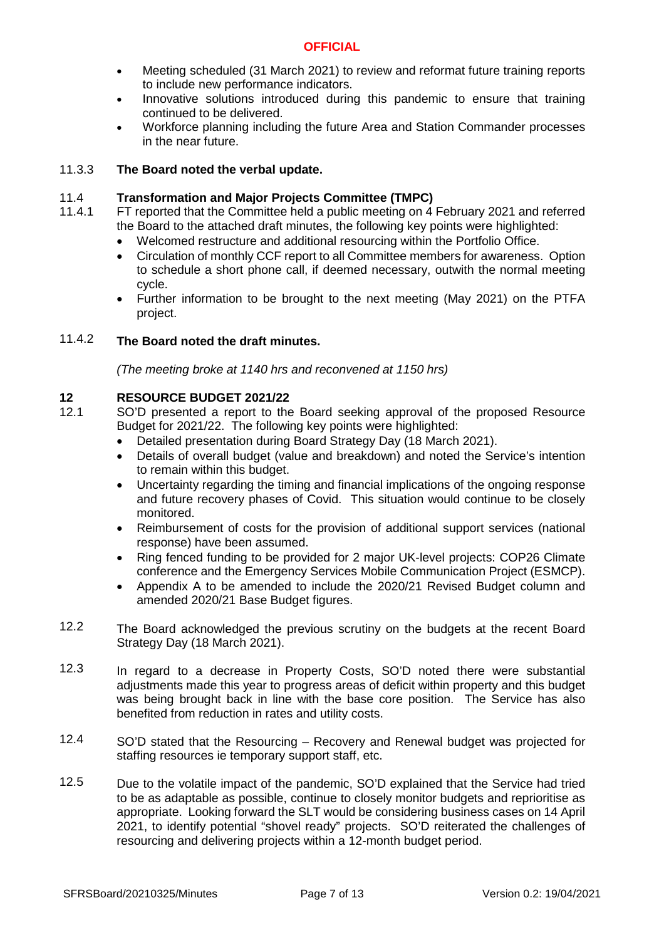- Meeting scheduled (31 March 2021) to review and reformat future training reports to include new performance indicators.
- Innovative solutions introduced during this pandemic to ensure that training continued to be delivered.
- Workforce planning including the future Area and Station Commander processes in the near future.

#### 11.3.3 **The Board noted the verbal update.**

#### 11.4 **Transformation and Major Projects Committee (TMPC)**

- 11.4.1 FT reported that the Committee held a public meeting on 4 February 2021 and referred the Board to the attached draft minutes, the following key points were highlighted:
	- Welcomed restructure and additional resourcing within the Portfolio Office.
	- Circulation of monthly CCF report to all Committee members for awareness. Option to schedule a short phone call, if deemed necessary, outwith the normal meeting cycle.
	- Further information to be brought to the next meeting (May 2021) on the PTFA project.

#### 11.4.2 **The Board noted the draft minutes.**

*(The meeting broke at 1140 hrs and reconvened at 1150 hrs)*

# **12 RESOURCE BUDGET 2021/22**

- 12.1 SO'D presented a report to the Board seeking approval of the proposed Resource Budget for 2021/22. The following key points were highlighted:
	- Detailed presentation during Board Strategy Day (18 March 2021).
	- Details of overall budget (value and breakdown) and noted the Service's intention to remain within this budget.
	- Uncertainty regarding the timing and financial implications of the ongoing response and future recovery phases of Covid. This situation would continue to be closely monitored.
	- Reimbursement of costs for the provision of additional support services (national response) have been assumed.
	- Ring fenced funding to be provided for 2 major UK-level projects: COP26 Climate conference and the Emergency Services Mobile Communication Project (ESMCP).
	- Appendix A to be amended to include the 2020/21 Revised Budget column and amended 2020/21 Base Budget figures.
- 12.2 The Board acknowledged the previous scrutiny on the budgets at the recent Board Strategy Day (18 March 2021).
- 12.3 In regard to a decrease in Property Costs, SO'D noted there were substantial adjustments made this year to progress areas of deficit within property and this budget was being brought back in line with the base core position. The Service has also benefited from reduction in rates and utility costs.
- 12.4 SO'D stated that the Resourcing – Recovery and Renewal budget was projected for staffing resources ie temporary support staff, etc.
- 12.5 Due to the volatile impact of the pandemic, SO'D explained that the Service had tried to be as adaptable as possible, continue to closely monitor budgets and reprioritise as appropriate. Looking forward the SLT would be considering business cases on 14 April 2021, to identify potential "shovel ready" projects. SO'D reiterated the challenges of resourcing and delivering projects within a 12-month budget period.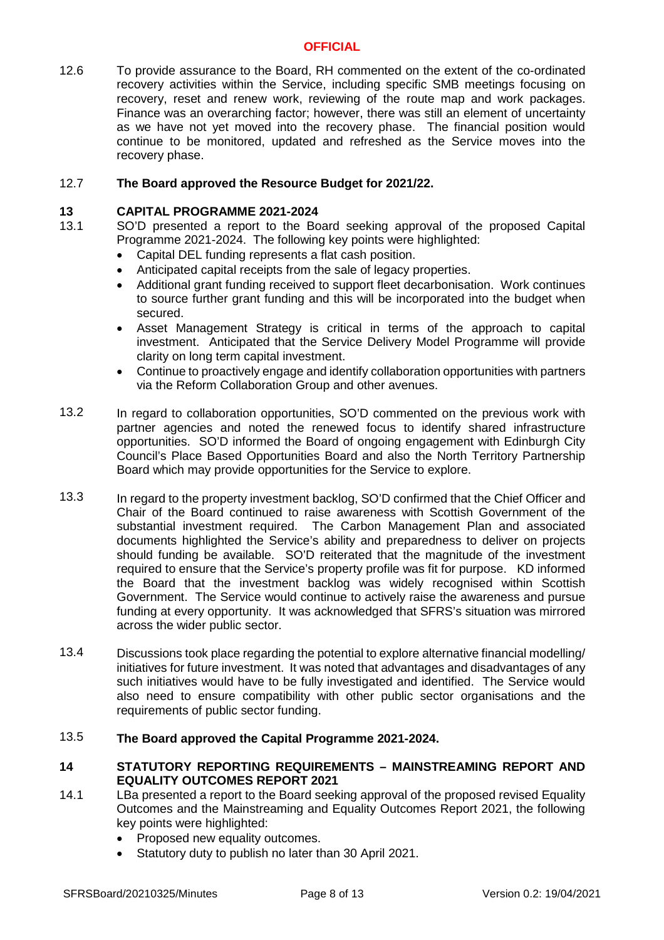12.6 To provide assurance to the Board, RH commented on the extent of the co-ordinated recovery activities within the Service, including specific SMB meetings focusing on recovery, reset and renew work, reviewing of the route map and work packages. Finance was an overarching factor; however, there was still an element of uncertainty as we have not yet moved into the recovery phase. The financial position would continue to be monitored, updated and refreshed as the Service moves into the recovery phase.

#### 12.7 **The Board approved the Resource Budget for 2021/22.**

### **13 CAPITAL PROGRAMME 2021-2024**

- 13.1 SO'D presented a report to the Board seeking approval of the proposed Capital Programme 2021-2024. The following key points were highlighted:
	- Capital DEL funding represents a flat cash position.
	- Anticipated capital receipts from the sale of legacy properties.
	- Additional grant funding received to support fleet decarbonisation. Work continues to source further grant funding and this will be incorporated into the budget when secured.
	- Asset Management Strategy is critical in terms of the approach to capital investment. Anticipated that the Service Delivery Model Programme will provide clarity on long term capital investment.
	- Continue to proactively engage and identify collaboration opportunities with partners via the Reform Collaboration Group and other avenues.
- 13.2 In regard to collaboration opportunities, SO'D commented on the previous work with partner agencies and noted the renewed focus to identify shared infrastructure opportunities. SO'D informed the Board of ongoing engagement with Edinburgh City Council's Place Based Opportunities Board and also the North Territory Partnership Board which may provide opportunities for the Service to explore.
- 13.3 In regard to the property investment backlog, SO'D confirmed that the Chief Officer and Chair of the Board continued to raise awareness with Scottish Government of the substantial investment required. The Carbon Management Plan and associated documents highlighted the Service's ability and preparedness to deliver on projects should funding be available. SO'D reiterated that the magnitude of the investment required to ensure that the Service's property profile was fit for purpose. KD informed the Board that the investment backlog was widely recognised within Scottish Government. The Service would continue to actively raise the awareness and pursue funding at every opportunity. It was acknowledged that SFRS's situation was mirrored across the wider public sector.
- 13.4 Discussions took place regarding the potential to explore alternative financial modelling/ initiatives for future investment. It was noted that advantages and disadvantages of any such initiatives would have to be fully investigated and identified. The Service would also need to ensure compatibility with other public sector organisations and the requirements of public sector funding.

#### 13.5 **The Board approved the Capital Programme 2021-2024.**

## **14 STATUTORY REPORTING REQUIREMENTS – MAINSTREAMING REPORT AND EQUALITY OUTCOMES REPORT 2021**

- 14.1 LBa presented a report to the Board seeking approval of the proposed revised Equality Outcomes and the Mainstreaming and Equality Outcomes Report 2021, the following key points were highlighted:
	- Proposed new equality outcomes.
	- Statutory duty to publish no later than 30 April 2021.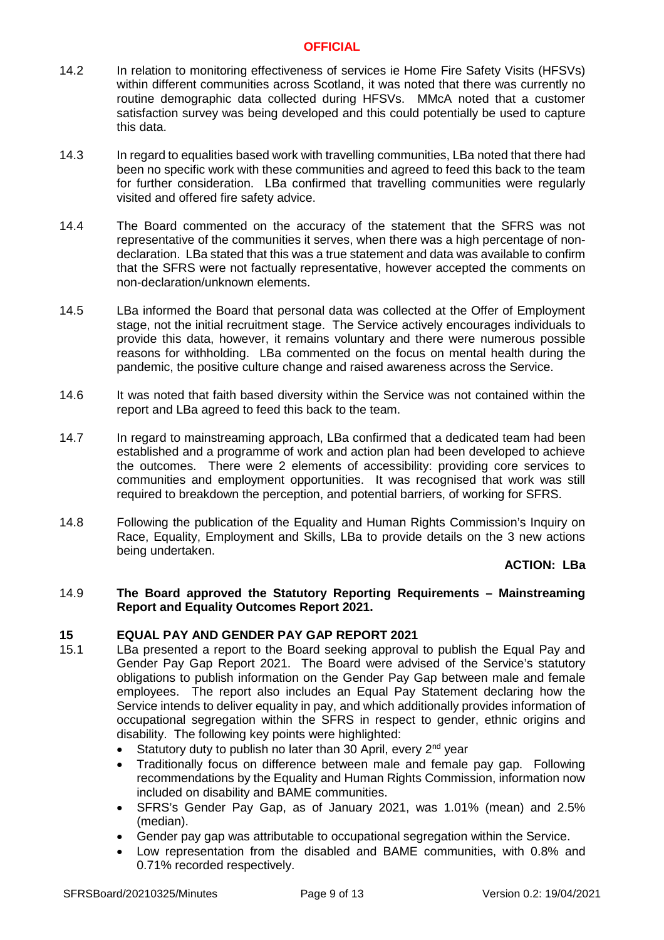- 14.2 In relation to monitoring effectiveness of services ie Home Fire Safety Visits (HFSVs) within different communities across Scotland, it was noted that there was currently no routine demographic data collected during HFSVs. MMcA noted that a customer satisfaction survey was being developed and this could potentially be used to capture this data.
- 14.3 In regard to equalities based work with travelling communities, LBa noted that there had been no specific work with these communities and agreed to feed this back to the team for further consideration. LBa confirmed that travelling communities were regularly visited and offered fire safety advice.
- 14.4 The Board commented on the accuracy of the statement that the SFRS was not representative of the communities it serves, when there was a high percentage of nondeclaration. LBa stated that this was a true statement and data was available to confirm that the SFRS were not factually representative, however accepted the comments on non-declaration/unknown elements.
- 14.5 LBa informed the Board that personal data was collected at the Offer of Employment stage, not the initial recruitment stage. The Service actively encourages individuals to provide this data, however, it remains voluntary and there were numerous possible reasons for withholding. LBa commented on the focus on mental health during the pandemic, the positive culture change and raised awareness across the Service.
- 14.6 It was noted that faith based diversity within the Service was not contained within the report and LBa agreed to feed this back to the team.
- 14.7 In regard to mainstreaming approach, LBa confirmed that a dedicated team had been established and a programme of work and action plan had been developed to achieve the outcomes. There were 2 elements of accessibility: providing core services to communities and employment opportunities. It was recognised that work was still required to breakdown the perception, and potential barriers, of working for SFRS.
- 14.8 Following the publication of the Equality and Human Rights Commission's Inquiry on Race, Equality, Employment and Skills, LBa to provide details on the 3 new actions being undertaken.

### **ACTION: LBa**

### 14.9 **The Board approved the Statutory Reporting Requirements – Mainstreaming Report and Equality Outcomes Report 2021.**

### **15 EQUAL PAY AND GENDER PAY GAP REPORT 2021**

- 15.1 LBa presented a report to the Board seeking approval to publish the Equal Pay and Gender Pay Gap Report 2021. The Board were advised of the Service's statutory obligations to publish information on the Gender Pay Gap between male and female employees. The report also includes an Equal Pay Statement declaring how the Service intends to deliver equality in pay, and which additionally provides information of occupational segregation within the SFRS in respect to gender, ethnic origins and disability. The following key points were highlighted:
	- Statutory duty to publish no later than 30 April, every  $2^{nd}$  year
	- Traditionally focus on difference between male and female pay gap. Following recommendations by the Equality and Human Rights Commission, information now included on disability and BAME communities.
	- SFRS's Gender Pay Gap, as of January 2021, was 1.01% (mean) and 2.5% (median).
	- Gender pay gap was attributable to occupational segregation within the Service.
	- Low representation from the disabled and BAME communities, with 0.8% and 0.71% recorded respectively.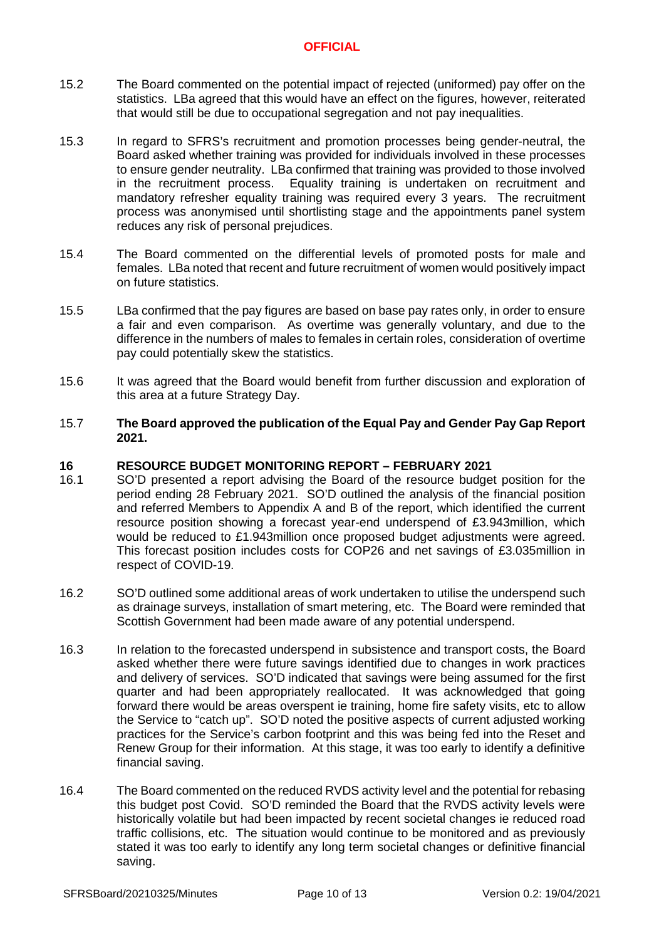- 15.2 The Board commented on the potential impact of rejected (uniformed) pay offer on the statistics. LBa agreed that this would have an effect on the figures, however, reiterated that would still be due to occupational segregation and not pay inequalities.
- 15.3 In regard to SFRS's recruitment and promotion processes being gender-neutral, the Board asked whether training was provided for individuals involved in these processes to ensure gender neutrality. LBa confirmed that training was provided to those involved in the recruitment process. Equality training is undertaken on recruitment and mandatory refresher equality training was required every 3 years. The recruitment process was anonymised until shortlisting stage and the appointments panel system reduces any risk of personal prejudices.
- 15.4 The Board commented on the differential levels of promoted posts for male and females. LBa noted that recent and future recruitment of women would positively impact on future statistics.
- 15.5 LBa confirmed that the pay figures are based on base pay rates only, in order to ensure a fair and even comparison. As overtime was generally voluntary, and due to the difference in the numbers of males to females in certain roles, consideration of overtime pay could potentially skew the statistics.
- 15.6 It was agreed that the Board would benefit from further discussion and exploration of this area at a future Strategy Day.
- 15.7 **The Board approved the publication of the Equal Pay and Gender Pay Gap Report 2021.**

## **16 RESOURCE BUDGET MONITORING REPORT – FEBRUARY 2021**

- 16.1 SO'D presented a report advising the Board of the resource budget position for the period ending 28 February 2021. SO'D outlined the analysis of the financial position and referred Members to Appendix A and B of the report, which identified the current resource position showing a forecast year-end underspend of £3.943million, which would be reduced to £1.943million once proposed budget adjustments were agreed. This forecast position includes costs for COP26 and net savings of £3.035million in respect of COVID-19.
- 16.2 SO'D outlined some additional areas of work undertaken to utilise the underspend such as drainage surveys, installation of smart metering, etc. The Board were reminded that Scottish Government had been made aware of any potential underspend.
- 16.3 In relation to the forecasted underspend in subsistence and transport costs, the Board asked whether there were future savings identified due to changes in work practices and delivery of services. SO'D indicated that savings were being assumed for the first quarter and had been appropriately reallocated. It was acknowledged that going forward there would be areas overspent ie training, home fire safety visits, etc to allow the Service to "catch up". SO'D noted the positive aspects of current adjusted working practices for the Service's carbon footprint and this was being fed into the Reset and Renew Group for their information. At this stage, it was too early to identify a definitive financial saving.
- 16.4 The Board commented on the reduced RVDS activity level and the potential for rebasing this budget post Covid. SO'D reminded the Board that the RVDS activity levels were historically volatile but had been impacted by recent societal changes ie reduced road traffic collisions, etc. The situation would continue to be monitored and as previously stated it was too early to identify any long term societal changes or definitive financial saving.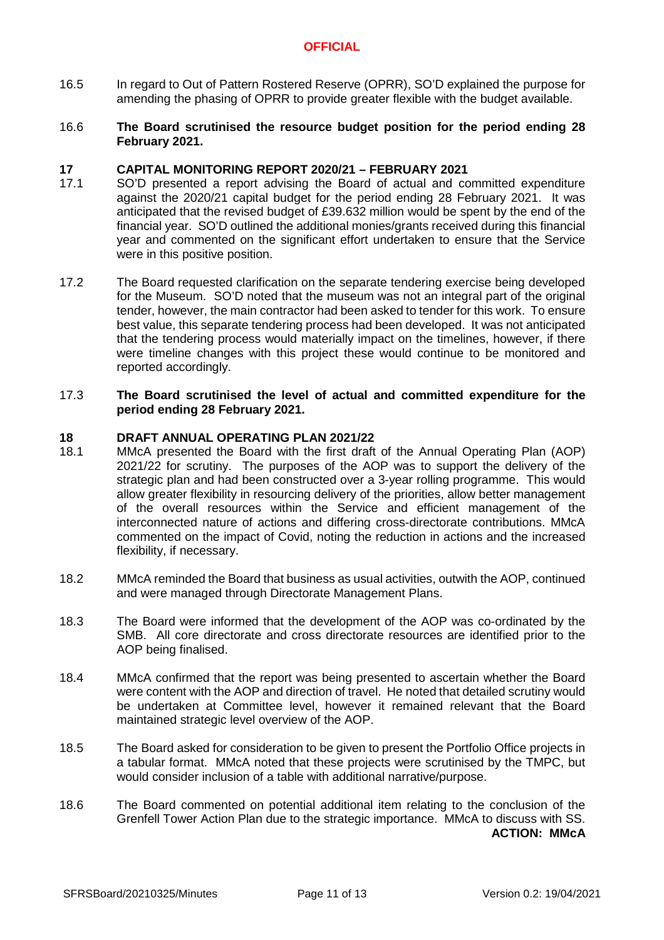16.5 In regard to Out of Pattern Rostered Reserve (OPRR), SO'D explained the purpose for amending the phasing of OPRR to provide greater flexible with the budget available.

### 16.6 **The Board scrutinised the resource budget position for the period ending 28 February 2021.**

### **17 CAPITAL MONITORING REPORT 2020/21 – FEBRUARY 2021**

- 17.1 SO'D presented a report advising the Board of actual and committed expenditure against the 2020/21 capital budget for the period ending 28 February 2021. It was anticipated that the revised budget of £39.632 million would be spent by the end of the financial year. SO'D outlined the additional monies/grants received during this financial year and commented on the significant effort undertaken to ensure that the Service were in this positive position.
- 17.2 The Board requested clarification on the separate tendering exercise being developed for the Museum. SO'D noted that the museum was not an integral part of the original tender, however, the main contractor had been asked to tender for this work. To ensure best value, this separate tendering process had been developed. It was not anticipated that the tendering process would materially impact on the timelines, however, if there were timeline changes with this project these would continue to be monitored and reported accordingly.

### 17.3 **The Board scrutinised the level of actual and committed expenditure for the period ending 28 February 2021.**

### **18 DRAFT ANNUAL OPERATING PLAN 2021/22**

- 18.1 MMcA presented the Board with the first draft of the Annual Operating Plan (AOP) 2021/22 for scrutiny. The purposes of the AOP was to support the delivery of the strategic plan and had been constructed over a 3-year rolling programme. This would allow greater flexibility in resourcing delivery of the priorities, allow better management of the overall resources within the Service and efficient management of the interconnected nature of actions and differing cross-directorate contributions. MMcA commented on the impact of Covid, noting the reduction in actions and the increased flexibility, if necessary.
- 18.2 MMcA reminded the Board that business as usual activities, outwith the AOP, continued and were managed through Directorate Management Plans.
- 18.3 The Board were informed that the development of the AOP was co-ordinated by the SMB. All core directorate and cross directorate resources are identified prior to the AOP being finalised.
- 18.4 MMcA confirmed that the report was being presented to ascertain whether the Board were content with the AOP and direction of travel. He noted that detailed scrutiny would be undertaken at Committee level, however it remained relevant that the Board maintained strategic level overview of the AOP.
- 18.5 The Board asked for consideration to be given to present the Portfolio Office projects in a tabular format. MMcA noted that these projects were scrutinised by the TMPC, but would consider inclusion of a table with additional narrative/purpose.
- 18.6 The Board commented on potential additional item relating to the conclusion of the Grenfell Tower Action Plan due to the strategic importance. MMcA to discuss with SS. **ACTION: MMcA**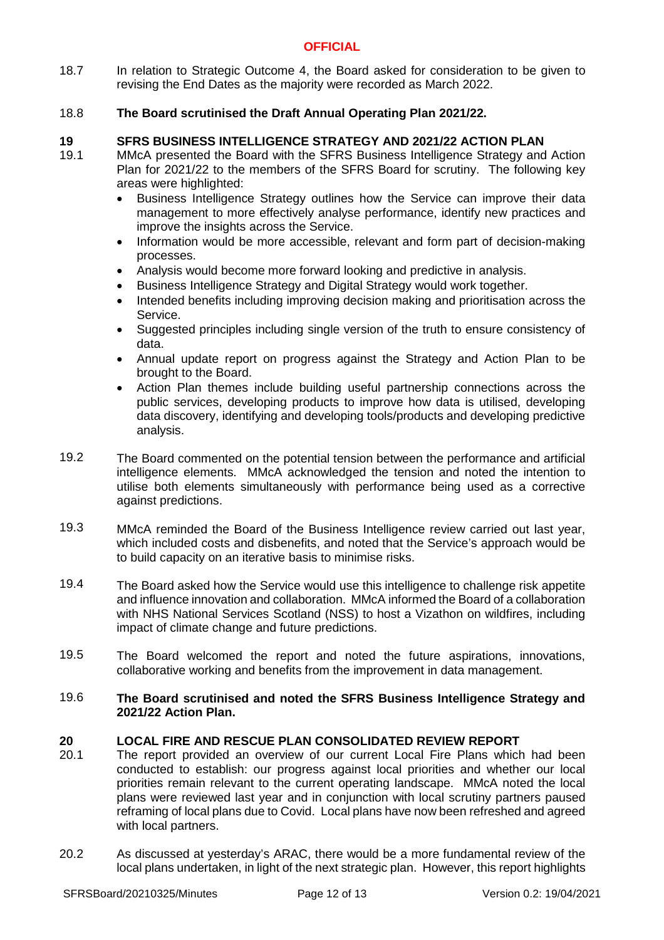18.7 In relation to Strategic Outcome 4, the Board asked for consideration to be given to revising the End Dates as the majority were recorded as March 2022.

#### 18.8 **The Board scrutinised the Draft Annual Operating Plan 2021/22.**

## **19 SFRS BUSINESS INTELLIGENCE STRATEGY AND 2021/22 ACTION PLAN**

- 19.1 MMcA presented the Board with the SFRS Business Intelligence Strategy and Action Plan for 2021/22 to the members of the SFRS Board for scrutiny. The following key areas were highlighted:
	- Business Intelligence Strategy outlines how the Service can improve their data management to more effectively analyse performance, identify new practices and improve the insights across the Service.
	- Information would be more accessible, relevant and form part of decision-making processes.
	- Analysis would become more forward looking and predictive in analysis.
	- Business Intelligence Strategy and Digital Strategy would work together.
	- Intended benefits including improving decision making and prioritisation across the Service.
	- Suggested principles including single version of the truth to ensure consistency of data.
	- Annual update report on progress against the Strategy and Action Plan to be brought to the Board.
	- Action Plan themes include building useful partnership connections across the public services, developing products to improve how data is utilised, developing data discovery, identifying and developing tools/products and developing predictive analysis.
- 19.2 The Board commented on the potential tension between the performance and artificial intelligence elements. MMcA acknowledged the tension and noted the intention to utilise both elements simultaneously with performance being used as a corrective against predictions.
- 19.3 MMcA reminded the Board of the Business Intelligence review carried out last year, which included costs and disbenefits, and noted that the Service's approach would be to build capacity on an iterative basis to minimise risks.
- 19.4 The Board asked how the Service would use this intelligence to challenge risk appetite and influence innovation and collaboration. MMcA informed the Board of a collaboration with NHS National Services Scotland (NSS) to host a Vizathon on wildfires, including impact of climate change and future predictions.
- 19.5 The Board welcomed the report and noted the future aspirations, innovations, collaborative working and benefits from the improvement in data management.

### 19.6 **The Board scrutinised and noted the SFRS Business Intelligence Strategy and 2021/22 Action Plan.**

# **20 LOCAL FIRE AND RESCUE PLAN CONSOLIDATED REVIEW REPORT**

- 20.1 The report provided an overview of our current Local Fire Plans which had been conducted to establish: our progress against local priorities and whether our local priorities remain relevant to the current operating landscape. MMcA noted the local plans were reviewed last year and in conjunction with local scrutiny partners paused reframing of local plans due to Covid. Local plans have now been refreshed and agreed with local partners.
- 20.2 As discussed at yesterday's ARAC, there would be a more fundamental review of the local plans undertaken, in light of the next strategic plan. However, this report highlights